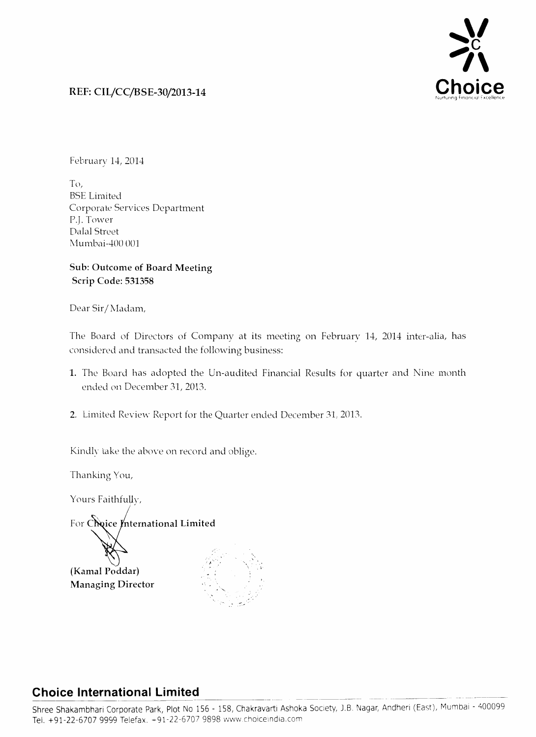

## **REF: CIL/CC/BSE-30/2013-14**

February 14, 2014

T<J, **BSE** Limited Corporate Services Department P.J. Tower Dalal Street Mumbai-400 001

## **Sub: Outcome of Board Meeting Scrip Code: 531358**

Dear Sir/Madam,

The Board of Directors of Company at its meeting on February 14, 2014 inter-alia, has considered and transacted the following business:

- **1.** The Board has adopted the Un-audited Financial Results for quarter and Nine month ended on December 31, 2013.
- 2. Limited Review Report for the Quarter ended December 31, 2013.

Kindly take the above on record and oblige.

Thanking You,

Yours Faithfully,

For Choice International Limited

**(Kamal Poddar) Managing Director** 

..

## **Choice International Limited**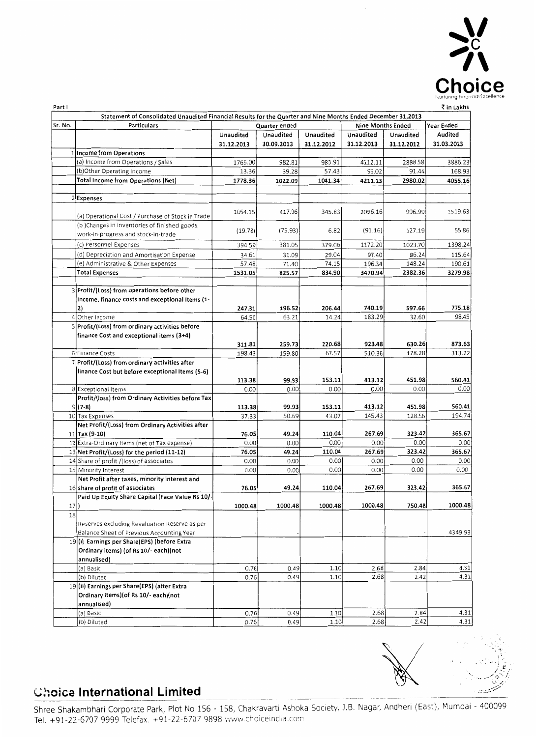

. ' '. ')

| Part I  |                                                                                                              |               |               |                |                          |                | ₹ in Lakhs     |
|---------|--------------------------------------------------------------------------------------------------------------|---------------|---------------|----------------|--------------------------|----------------|----------------|
|         | Statement of Consolidated Unaudited Financial Results for the Quarter and Nine Months Ended December 31,2013 |               |               |                |                          |                |                |
| Sr. No. | Particulars                                                                                                  |               | Quarter ended |                | <b>Nine Months Ended</b> |                | Year Ended     |
|         |                                                                                                              | Unaudited     | Unaudited     | Unaudited      | Unaudited                | Unaudited      | Audited        |
|         |                                                                                                              | 31.12.2013    | 30.09.2013    | 31.12.2012     | 31.12.2013               | 31.12.2012     | 31.03.2013     |
|         | 1 Income from Operations                                                                                     |               |               |                |                          |                |                |
|         | (a) Income from Operations / Sales                                                                           | 1765.00       | 982.81        | 983.91         | 4112.11                  | 2888.58        | 3886.23        |
|         | (b)Other Operating Income                                                                                    | 13.36         | 39.28         | 57.43          | 99.02                    | 91.44          | 168.93         |
|         | Total Income from Operations (Net)                                                                           | 1778.36       | 1022.09       | 1041.34        | 4211.13                  | 2980.02        | 4055.16        |
|         |                                                                                                              |               |               |                |                          |                |                |
|         | 2 Expenses                                                                                                   |               |               |                |                          |                |                |
|         | (a) Operational Cost / Purchase of Stock in Trade                                                            | 1064.15       | 417.96        | 345.83         | 2096.16                  | 996.99         | 1519.63        |
|         | (b) Changes in inventories of finished goods,                                                                |               |               |                |                          |                |                |
|         | work-in-progress and stock-in-trade                                                                          | (19.78)       | (75.93)       | 6.82           | (91.16)                  | 127.19         | 55.86          |
|         | (c) Personnel Expenses                                                                                       | 394.59        | 381.05        | 379.06         | 1172.20                  | 1023.70        | 1398.24        |
|         | (d) Depreciation and Amortisation Expense                                                                    | 34.61         | 31.09         | 29.04          | 97.40                    | 86.24          | 115.64         |
|         | (e) Administrative & Other Expenses                                                                          | 57.48         | 71.40         | 74.15          | 196.34                   | 148.24         | 190.61         |
|         | <b>Total Expenses</b>                                                                                        | 1531.05       | 825.57        | 834.90         | 3470.94                  | 2382.36        | 3279.98        |
|         |                                                                                                              |               |               |                |                          |                |                |
|         | 3 Profit/(Loss) from operations before other                                                                 |               |               |                |                          |                |                |
|         | income, finance costs and exceptional Items (1-                                                              |               |               |                |                          |                |                |
|         | 2)                                                                                                           | 247.31        | 196.52        | 206.44         | 740.19                   | 597.66         | 775.18         |
|         | 4 Other Income                                                                                               | 64.50         | 63.21         | 14.24          | 183.29                   | 32.60          | 98.45          |
|         | 5 Profit/(Loss) from ordinary activities before                                                              |               |               |                |                          |                |                |
|         | finance Cost and exceptional items (3+4)                                                                     |               |               |                |                          |                |                |
|         |                                                                                                              | 311.81        | 259.73        | 220.68         | 923.48                   | 630.26         | 873.63         |
|         | 6 Finance Costs                                                                                              | 198.43        | 159.80        | 67.57          | 510.36                   | 178.28         | 313.22         |
|         | 7 Profit/(Loss) from ordinary activities after                                                               |               |               |                |                          |                |                |
|         | finance Cost but before exceptional Items (5-6)                                                              |               |               |                |                          |                |                |
|         |                                                                                                              | 113.38        | 99.93         | 153.11         | 413.12                   | 451.98         | 560.41         |
|         | 8 Exceptional Items                                                                                          | 0.00          | 0.00          | 0.00           | 0.00                     | 0.00           | 0.00           |
|         | Profit/(loss) from Ordinary Activities before Tax                                                            |               |               |                |                          |                |                |
|         | $9(7-8)$                                                                                                     | 113.38        | 99.93         | 153.11         | 413.12                   | 451.98         | 560.41         |
|         | 10 Tax Expenses                                                                                              | 37.33         | 50.69         | 43.07          | 145.43                   | 128.56         | 194.74         |
|         | Net Profit/(Loss) from Ordinary Activities after                                                             |               |               |                |                          |                |                |
|         | $11$   Tax (9-10)                                                                                            | 76.05         | 49.24         | 110.04         | 267.69<br>0.00           | 323.42<br>0.00 | 365.67<br>0.00 |
|         | 12 Extra-Ordinary Items (net of Tax expense)                                                                 | 0.00<br>76.05 | 0.00<br>49.24 | 0.00<br>110.04 | 267.69                   | 323.42         | 365.67         |
|         | 13 Net Profit/(Loss) for the period (11-12)<br>14 Share of profit /(loss) of associates                      | 0.00          | 0.00          | 0.00           | 0.00                     | 0.00           | 0.00           |
|         | 15 Minority Interest                                                                                         | 0.00          | 0.00          | 0.00           | 0.00                     | 0.00           | 0.00           |
|         | Net Profit after taxes, minority interest and                                                                |               |               |                |                          |                |                |
|         | 16 share of profit of associates                                                                             | 76.05         | 49.24         | 110.04         | 267.69                   | 323.42         | 365.67         |
|         | Paid Up Equity Share Capital (Face Value Rs 10/-                                                             |               |               |                |                          |                |                |
| 17)     |                                                                                                              | 1000.48       | 1000.48       | 1000.48        | 1000.48                  | 750.48         | 1000.48        |
| 18      |                                                                                                              |               |               |                |                          |                |                |
|         | Reserves excluding Revaluation Reserve as per                                                                |               |               |                |                          |                |                |
|         | Balance Sheet of Previous Accounting Year                                                                    |               |               |                |                          |                | 4349.93        |
|         | 19(i) Earnings per Share(EPS) (before Extra                                                                  |               |               |                |                          |                |                |
|         | Ordinary items) (of Rs 10/- each)(not                                                                        |               |               |                |                          |                |                |
|         | annualised)                                                                                                  |               |               |                |                          |                |                |
|         | (a) Basic                                                                                                    | 0.76          | 0.49          | 1.10           | 2.68                     | 2.84           | 4.31           |
|         | (b) Diluted                                                                                                  | 0.76          | 0.49          | 1.10           | 2.68                     | 2.42           | 4.31           |
|         | 19(ii) Earnings per Share(EPS) (after Extra                                                                  |               |               |                |                          |                |                |
|         | Ordinary items) (of Rs 10/- each) (not                                                                       |               |               |                |                          |                |                |
|         | annualised)                                                                                                  |               |               |                |                          |                |                |
|         | (a) Basic                                                                                                    | 0.76          | 0.49          | 1.10           | 2.68                     | 2.84           | 4.31           |
|         | (b) Diluted                                                                                                  | 0.76          | 0.49          | 1.10           | 2.68                     | 2.42           | 4.31           |

# **Choice International Limited**

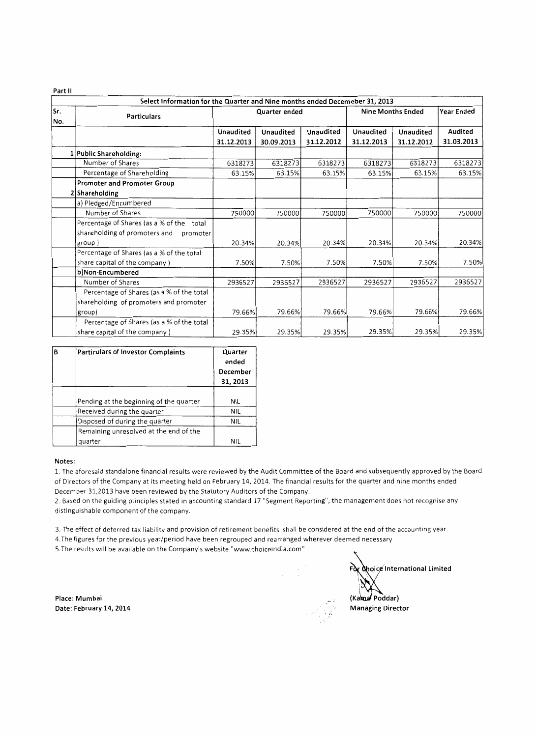**Part II** 

|            | Select Information for the Quarter and Nine months ended Decemeber 31, 2013 |                  |                  |            |                          |                   |            |  |  |
|------------|-----------------------------------------------------------------------------|------------------|------------------|------------|--------------------------|-------------------|------------|--|--|
| Sr.<br>No. | <b>Particulars</b>                                                          |                  | Quarter ended    |            | <b>Nine Months Ended</b> | <b>Year Ended</b> |            |  |  |
|            |                                                                             | <b>Unaudited</b> | <b>Unaudited</b> | Unaudited  | Unaudited                | <b>Unaudited</b>  | Audited    |  |  |
|            |                                                                             | 31.12.2013       | 30.09.2013       | 31.12.2012 | 31.12.2013               | 31.12.2012        | 31.03.2013 |  |  |
|            | 1 Public Shareholding:                                                      |                  |                  |            |                          |                   |            |  |  |
|            | Number of Shares                                                            | 6318273          | 6318273          | 6318273    | 6318273                  | 6318273           | 6318273    |  |  |
|            | Percentage of Shareholding                                                  | 63.15%           | 63.15%           | 63.15%     | 63.15%                   | 63.15%            | 63.15%     |  |  |
|            | <b>Promoter and Promoter Group</b>                                          |                  |                  |            |                          |                   |            |  |  |
|            | 2 Shareholding                                                              |                  |                  |            |                          |                   |            |  |  |
|            | a) Pledged/Encumbered                                                       |                  |                  |            |                          |                   |            |  |  |
|            | Number of Shares                                                            | 750000           | 750000           | 750000     | 750000                   | 750000            | 750000     |  |  |
|            | Percentage of Shares (as a % of the total                                   |                  |                  |            |                          |                   |            |  |  |
|            | shareholding of promoters and<br>promoter                                   |                  |                  |            |                          |                   |            |  |  |
|            | group)                                                                      | 20.34%           | 20.34%           | 20.34%     | 20.34%                   | 20.34%            | 20.34%     |  |  |
|            | Percentage of Shares (as a % of the total                                   |                  |                  |            |                          |                   |            |  |  |
|            | share capital of the company)                                               | 7.50%            | 7.50%            | 7.50%      | 7.50%                    | 7.50%             | 7.50%      |  |  |
|            | b)Non-Encumbered                                                            |                  |                  |            |                          |                   |            |  |  |
|            | Number of Shares                                                            | 2936527          | 2936527          | 2936527    | 2936527                  | 2936527           | 2936527    |  |  |
|            | Percentage of Shares (as a % of the total                                   |                  |                  |            |                          |                   |            |  |  |
|            | shareholding of promoters and promoter                                      |                  |                  |            |                          |                   |            |  |  |
|            | group)                                                                      | 79.66%           | 79.66%           | 79.66%     | 79.66%                   | 79.66%            | 79.66%     |  |  |
|            | Percentage of Shares (as a % of the total                                   |                  |                  |            |                          |                   |            |  |  |
|            | share capital of the company)                                               | 29.35%           | 29.35%           | 29.35%     | 29.35%                   | 29.35%            | 29.35%     |  |  |

| В | <b>Particulars of Investor Complaints</b> | Quarter<br>ended<br>December<br>31, 2013 |
|---|-------------------------------------------|------------------------------------------|
|   | Pending at the beginning of the quarter   | NIL                                      |
|   | Received during the quarter               | NIL                                      |
|   | Disposed of during the quarter            | <b>NIL</b>                               |
|   | Remaining unresolved at the end of the    |                                          |
|   | quarter                                   | NIL                                      |

#### **Notes:**

1. The aforesaid standalone financial results were reviewed by the Audit Committee of the Board and subsequently approved by the Board of Directors of the Company at its meeting held on February 14, 2014. The financial results for the quarter and nine months ended December 31,2013 have been reviewed by the Statutory Auditors of the Company.

2. Based on the guiding principles stated in accounting standard 17 "Segment Reporting", the management does not recognise any distinguishable component of the company.

3. The effect of deferred tax liability and provision of retirement benefits shall be considered at the end of the accounting year.

4.The figures for the previous year/period have been regrouped and rearranged wherever deemed necessary

5.The results will be available on the Company's website "www.choiceindia.com"

**Place: Mumbai Date: February 14, 2014** Managing Director

For **Choice** International Limited (Kama Poddar)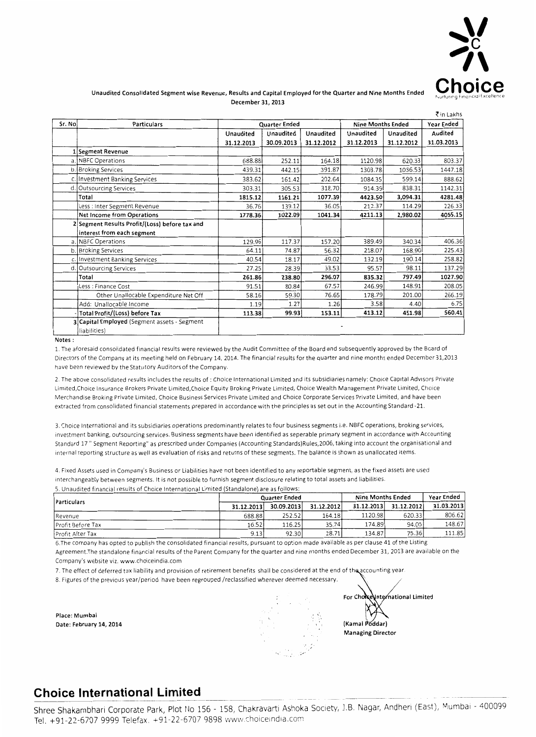

### **Unaudited Consolidated Segment wise Revenue, Results and Capital Employed for the Quarter and Nine Months Ended December 31, 2013**

|        |                                                |            |                      |            |                          |            | て in Lakhs |
|--------|------------------------------------------------|------------|----------------------|------------|--------------------------|------------|------------|
| Sr. No | Particulars                                    |            | <b>Quarter Ended</b> |            | <b>Nine Months Ended</b> |            | Year Ended |
|        |                                                | Unaudited  | Unaudited            | Unaudited  | Unaudited                | Unaudited  | Audited    |
|        |                                                | 31.12.2013 | 30.09.2013           | 31.12.2012 | 31.12.2013               | 31.12.2012 | 31.03.2013 |
|        | 1 Segment Revenue                              |            |                      |            |                          |            |            |
|        | a. NBFC Operations                             | 688.88     | 252.11               | 164.18     | 1120.98                  | 620.33     | 803.37     |
|        | b. Broking Services                            | 439.31     | 442.15               | 391.87     | 1303.78                  | 1036.53    | 1447.18    |
|        | c. Investment Banking Services                 | 383.62     | 161.42               | 202.64     | 1084.35                  | 599.14     | 888.62     |
| d.     | Outsourcing Services                           | 303.31     | 305.53               | 318.70     | 914.39                   | 838.31     | 1142.31    |
|        | Total                                          | 1815.12    | 1161.21              | 1077.39    | 4423.50                  | 3.094.31   | 4281.48    |
|        | Less : Inter Segment Revenue                   | 36.76      | 139.12               | 36.05      | 212.37                   | 114.29     | 226.33     |
|        | Net Income from Operations                     | 1778.36    | 1022.09              | 1041.34    | 4211.13                  | 2,980.02   | 4055.15    |
|        | 2 Segment Results Profit/(Loss) before tax and |            |                      |            |                          |            |            |
|        | interest from each segment                     |            |                      |            |                          |            |            |
|        | a. NBFC Operations                             | 129.96     | 117.37               | 157.20     | 389.49                   | 340.34     | 406.36     |
|        | b. Broking Services                            | 64.11      | 74.87                | 56.32      | 218.07                   | 168.90     | 225.43     |
|        | c. Investment Banking Services                 | 40.54      | 18.17                | 49.02      | 132.19                   | 190.14     | 258.82     |
|        | d. Outsourcing Services                        | 27.25      | 28.39                | 33.53      | 95.57                    | 98.11      | 137.29     |
|        | Total                                          | 261.86     | 238.80               | 296.07     | 835.32                   | 797.49     | 1027.90    |
|        | Less : Finance Cost                            | 91.51      | 80.84                | 67.57      | 246.99                   | 148.91     | 208.05     |
|        | Other Unallocable Expenditure Net Off          | 58.16      | 59.30                | 76.65      | 178.79                   | 201.00     | 266.19     |
|        | Add: Unallocable Income                        | 1.19       | 1.27                 | 1.26       | 3.58                     | 4.40       | 6.75       |
|        | Total Profit/(Loss) before Tax                 | 113.38     | 99.93                | 153.11     | 413.12                   | 451.98     | 560.41     |
|        | 3 Capital Employed (Segment assets - Segment   |            |                      |            |                          |            |            |
|        | liabilities)                                   |            |                      |            |                          |            |            |

**Notes:** 

1. The aforesaid consolidated financial results were reviewed by the Audit Committee of the Board and subsequently approved by the Board of Directors of the Company at its meeting held on February 14. 2014. The financial results for the quarter and nine months ended December 31,2013 have been reviewed by the Statutory Auditors of the Company.

2. The above consolidated results includes the results of : Choice International Limited and its subsidiaries namely: Choice Capital Advisors Private Lim1ted,Choice Insurance Brokers Private Limited,Choice Equity Braking Private Limited, Choice Wealth Management Private Limited, Cho1ce Merchandise Braking Private Limited, Choice Business Services Private Limited and Choice Corporate Services Private Limited, and have been extracted from consolidated financial statements prepared in accordance with the principles as set out in the Accounting Standard -21.

3. Choice International and its subsidiaries operations predominantly relates to four business segments i.e. NBFC operations, braking services, investment banking, outsourcing services. Business segments have been identified as seperable primary segment in accordance with Accounting Standard 17 " Segment Reporting" as prescribed under Companies (Accounting Standards)Rules,2006, taking into account the organisational and internal reporting structure as well as evaluation of risks and returns of these segments. The balance is shown as unallocated items.

4. Fixed Assets used in Company's Business or Liabilities have not been identified to any reportable segment, as the fixed assets are used mterchangeably between segments. It is not possible to furnish segment disclosure relating to total assets and liabilities. 5 Unaudited financial results of Choice International Limited (Standalone) are as follows·

|                          |            | Quarter Ended |            | <b>Nine Months Ended</b> | Year Ended |            |
|--------------------------|------------|---------------|------------|--------------------------|------------|------------|
| <b>Particulars</b>       | 31.12.2013 | 30.09.2013    | 31.12.2012 | 31.12.2013               | 31.12.2012 | 31.03.2013 |
| Revenue                  | 688.88     | 252.52        | 164.18     | 1120.98                  | 620.33     | 806.62     |
| <b>Profit Before Tax</b> | 16.52      | 116.25        | 35.74      | 174.89                   | 94.05      | 148.67     |
| Profit After Tax         | 9.13       | 92.30         | 28.71      | 134.87                   | 75.36      | 111.85     |

6.The company has opted to publish the consolidated financial results, pursuant to option made available as per clause 41 of the Listing Agreement.The standalone financial results of the Parent Company for the quarter and nine months ended December 31, 2013 are available on the Company's website viz. www.choiceindia.com

7. The effect of deferred tax liability and provision of retirement benefits shall be considered at the end of the accounting year.

8. Figures of the previous year/period have been regrouped /reclassified wherever deemed necessary.

**Place: Mumbai Date: February 14, 2014** 

International Limited For Chon (Kamal Poddar) **Managing Director** 

## **Choice International Limited**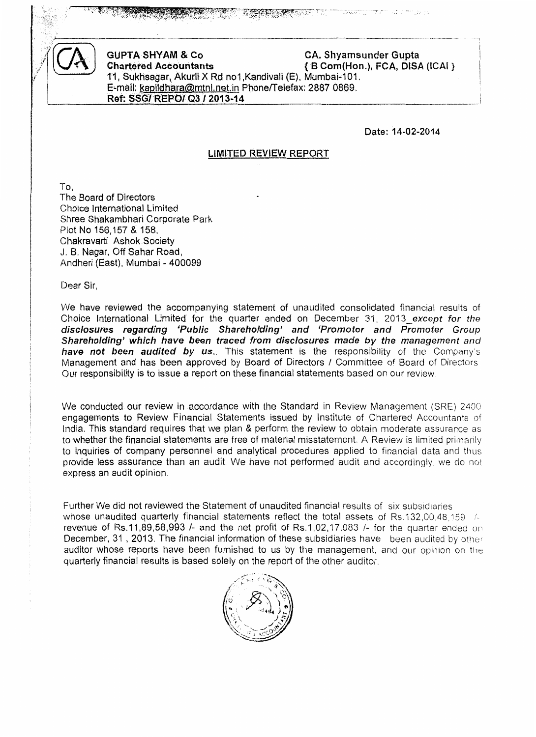

GUPTA SHYAM & Co CA. Shyamsunder Gupta<br>Chartered Accountants (B Com(Hon.), FCA, DISA  $\{B$  Com(Hon.), FCA, DISA (ICAI } 11, Sukhsagar, Akurli X Rd no1,Kandivali (E), Mumbai-101. E-mail: kapildhara@mtnl.net.in Phone/Telefax: 2887 0869. Ref: SSG/ REPO/ Q3 / 2013-14

-----------------·-----·-- . -------------·--·--··

Date: 14·02-2014

### LIMITED REVIEW REPORT

To, The Board of Directors Choice International Limited Shree Shakambhari Corporate Park Plot No 156,157 & 158. Chakravarti Ashok Society J. B. Nagar, Off Sahar Road, Andheri (East), Mumbai- 400099

Dear Sir,

We have reviewed the accompanying statement of unaudited consolidated financial results of Choice International Limited for the quarter ended on December 31. 2013\_except for the disclosures regarding 'Public Shareholding' and 'Promoter and Promoter Group Shareholding' which have been traced from disclosures made by the management and have not been audited by us.. This statement is the responsibility of the Company's Management and has been approved by Board of Directors I Committee of Board of Directors Our responsibility is to issue a report on these financial statements based on our review.

We conducted our review in accordance with the Standard in Review Management (SRE) 2400 engagements to Review Financial Statements issued by Institute of Chartered Accountants of India. This standard requires that we plan & perform the review to obtain moderate assurance as to whether the financial statements are free of material misstatement. A Review is limited primanly to inquiries of company personnel and analytical procedures applied to financial data and thus provide less assurance than an audit. We have not petiormed audit and accordingly, we do not express an audit opinion.

Further We did not reviewed the Statement of unaudited financial results of six subsidiaries whose unaudited quarterly financial statements reflect the total assets of Rs.132,00.48.159 /revenue of Rs.11,89,58,993  $\ell$ - and the net profit of Rs.1,02,17,083  $\ell$ - for the quarter ended on December, 31, 2013. The financial information of these subsidiaries have been audited by other auditor whose reports have been furnished to us by the management, and our opinion on the quarterly financial results is based solely on the report of the other auditor.

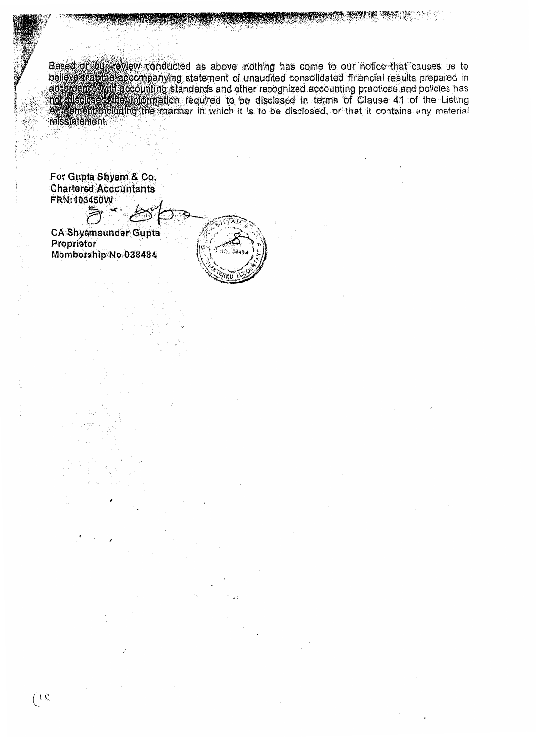Based of curreview conducted as above, nothing has come to our notice that causes us to believe that the accompanying statement of unaudited consolidated financial results prepared in according the accounting standards and misstatement

For Gupta Shyam & Co. **Chartered Accountants** FRN:103450W

戶

**CA Shyamsunder Gupta** Proprietor Membership No.038484

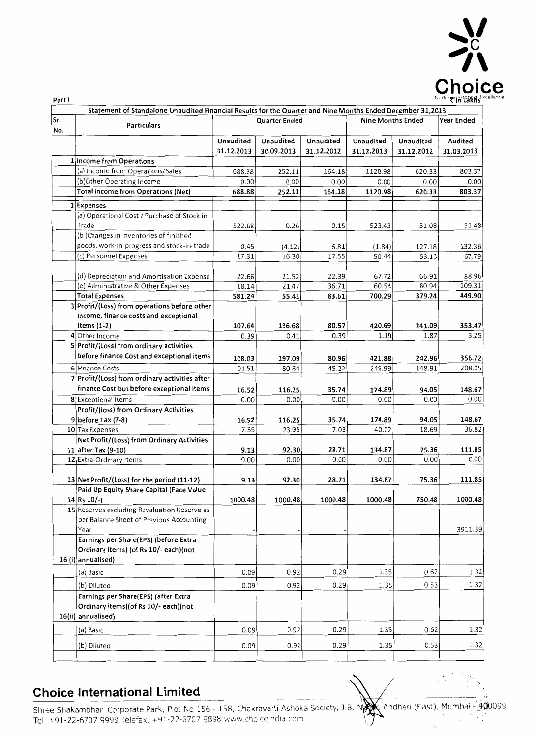

,, '

 $\tilde{\mathcal{L}}_1$ 

|            |                                                              | Statement of Standalone Unaudited Financial Results for the Quarter and Nine Months Ended December 31,2013 |                      |                |                          |                |                 |  |  |
|------------|--------------------------------------------------------------|------------------------------------------------------------------------------------------------------------|----------------------|----------------|--------------------------|----------------|-----------------|--|--|
| Sr.<br>No. | <b>Particulars</b>                                           |                                                                                                            | <b>Quarter Ended</b> |                | <b>Nine Months Ended</b> | Year Ended     |                 |  |  |
|            |                                                              | Unaudited                                                                                                  | Unaudited            | Unaudited      | Unaudited                | Unaudited      | Audited         |  |  |
|            |                                                              | 31.12.2013                                                                                                 | 30.09.2013           | 31.12.2012     | 31.12.2013               | 31.12.2012     | 31.03.2013      |  |  |
|            | 1 Income from Operations                                     |                                                                                                            |                      |                |                          |                |                 |  |  |
|            | (a) Income from Operations/Sales                             | 688.88                                                                                                     | 252.11               | 164.18         | 1120.98                  | 620.33         | 803.37          |  |  |
|            | (b)Other Operating Income                                    | 0.00                                                                                                       | 0.00                 | 0.00           | 0.00                     | 0.00           | 0.00            |  |  |
|            | <b>Total Income from Operations (Net)</b>                    | 688.88                                                                                                     | 252.11               | 164.18         | 1120.98                  | 620.33         | 803.37          |  |  |
|            | 2 Expenses                                                   |                                                                                                            |                      |                |                          |                |                 |  |  |
|            | (a) Operational Cost / Purchase of Stock in                  |                                                                                                            |                      |                |                          |                |                 |  |  |
|            | Trade                                                        | 522.68                                                                                                     | 0.26                 | 0.15           | 523.43                   | 51.08          | 51.48           |  |  |
|            | (b) Changes in inventories of finished                       |                                                                                                            |                      |                |                          |                |                 |  |  |
|            | goods, work-in-progress and stock-in-trade                   | 0.45                                                                                                       | (4.12)               | 6.81           | (1.84)                   | 127.18         | 132.36          |  |  |
|            | (c) Personnel Expenses                                       | 17.31                                                                                                      | 16.30                | 17.55          | 50.44                    | 53.13          | 67.79           |  |  |
|            |                                                              |                                                                                                            |                      |                |                          |                |                 |  |  |
|            | (d) Depreciation and Amortisation Expense                    | 22.66<br>18.14                                                                                             | 21.52<br>21.47       | 22.39<br>36.71 | 67.72<br>60.54           | 66.91<br>80.94 | 88.96<br>109.31 |  |  |
|            | (e) Administrative & Other Expenses<br><b>Total Expenses</b> | 581.24                                                                                                     | 55.43                | 83.61          | 700.29                   | 379.24         | 449.90          |  |  |
|            | 3 Profit/(Loss) from operations before other                 |                                                                                                            |                      |                |                          |                |                 |  |  |
|            | income, finance costs and exceptional                        |                                                                                                            |                      |                |                          |                |                 |  |  |
|            | Items (1-2)                                                  | 107.64                                                                                                     | 196.68               | 80.57          | 420.69                   | 241.09         | 353.47          |  |  |
|            | 4 Other Income                                               | 0.39                                                                                                       | 0.41                 | 0.39           | 1.19                     | 1.87           | 3.25            |  |  |
|            | 5 Profit/(Loss) from ordinary activities                     |                                                                                                            |                      |                |                          |                |                 |  |  |
|            | before finance Cost and exceptional items                    | 108.03                                                                                                     | 197.09               | 80.96          | 421.88                   | 242.96         | 356.72          |  |  |
|            | 6 Finance Costs                                              | 91.51                                                                                                      | 80.84                | 45.22          | 246.99                   | 148.91         | 208.05          |  |  |
|            | 7 Profit/(Loss) from ordinary activities after               |                                                                                                            |                      |                |                          |                |                 |  |  |
|            | finance Cost but before exceptional Items                    | 16.52                                                                                                      | 116.25               | 35.74          | 174.89                   | 94.05          | 148.67          |  |  |
|            | 8 Exceptional Items                                          | 0.00                                                                                                       | 0.00                 | 0.00           | 0.00                     | 0.00           | 0.00            |  |  |
|            | Profit/(loss) from Ordinary Activities                       |                                                                                                            |                      |                |                          |                |                 |  |  |
|            | $9$ before Tax (7-8)                                         | 16.52                                                                                                      | 116.25               | 35.74          | 174.89                   | 94.05          | 148.67          |  |  |
|            | 10 Tax Expenses                                              | 7.39                                                                                                       | 23.95                | 7.03           | 40.02                    | 18.69          | 36.82           |  |  |
|            | Net Profit/(Loss) from Ordinary Activities                   |                                                                                                            |                      |                |                          |                |                 |  |  |
|            | 11 after Tax (9-10)                                          | 9.13                                                                                                       | 92.30                | 28.71          | 134.87                   | 75.36          | 111.85          |  |  |
|            | 12 Extra-Ordinary Items                                      | 0.00                                                                                                       | 0.00                 | 0.00           | 0.00                     | 0.00           | 0.00            |  |  |
|            | 13 Net Profit/(Loss) for the period (11-12)                  | 9.13                                                                                                       | 92.30                | 28.71          | 134.87                   | 75.36          | 111.85          |  |  |
|            | Paid Up Equity Share Capital (Face Value                     |                                                                                                            |                      |                |                          |                |                 |  |  |
|            | 14 Rs 10/-)                                                  | 1000.48                                                                                                    | 1000.48              | 1000.48        | 1000.48                  | 750.48         | 1000.48         |  |  |
|            | 15 Reserves excluding Revaluation Reserve as                 |                                                                                                            |                      |                |                          |                |                 |  |  |
|            | per Balance Sheet of Previous Accounting                     |                                                                                                            |                      |                |                          |                |                 |  |  |
|            | Year                                                         |                                                                                                            |                      |                |                          |                | 3911.39         |  |  |
|            | Earnings per Share(EPS) (before Extra                        |                                                                                                            |                      |                |                          |                |                 |  |  |
|            | Ordinary items) (of Rs 10/- each) (not                       |                                                                                                            |                      |                |                          |                |                 |  |  |
|            | 16 (i) annualised)                                           |                                                                                                            |                      |                |                          |                |                 |  |  |
|            | (a) Basic                                                    | 0.09                                                                                                       | 0.92                 | 0.29           | 1.35                     | 0.62           | 1.32            |  |  |
|            | (b) Diluted                                                  | 0.09                                                                                                       | 0.92                 | 0.29           | 1.35                     | 0.53           | 1.32            |  |  |
|            | Earnings per Share(EPS) (after Extra                         |                                                                                                            |                      |                |                          |                |                 |  |  |
|            | Ordinary items) (of Rs 10/- each) (not                       |                                                                                                            |                      |                |                          |                |                 |  |  |
|            | 16(ii) annualised)                                           |                                                                                                            |                      |                |                          |                |                 |  |  |
|            | (a) Basic                                                    | 0.09                                                                                                       | 0.92                 | 0.29           | 1.35                     | 0.62           | 1.32            |  |  |
|            |                                                              |                                                                                                            |                      |                |                          |                |                 |  |  |
|            | (b) Diluted                                                  | 0.09                                                                                                       | 0.92                 | 0.29           | 1.35                     | 0.53           | 1.32            |  |  |
|            |                                                              |                                                                                                            |                      |                |                          |                |                 |  |  |

# **Choice International Limited**

Shree Shakambhari Corporate Park, Plot No 156 - 158, Chakravarti Ashoka Society, J.B. Nagy C Andheri (East), Mumbat - 400099 Tel. +91-22-6707 9999 Telefax. +91-22-6707 9898 www.choiceindia.com  $\sqrt{2}$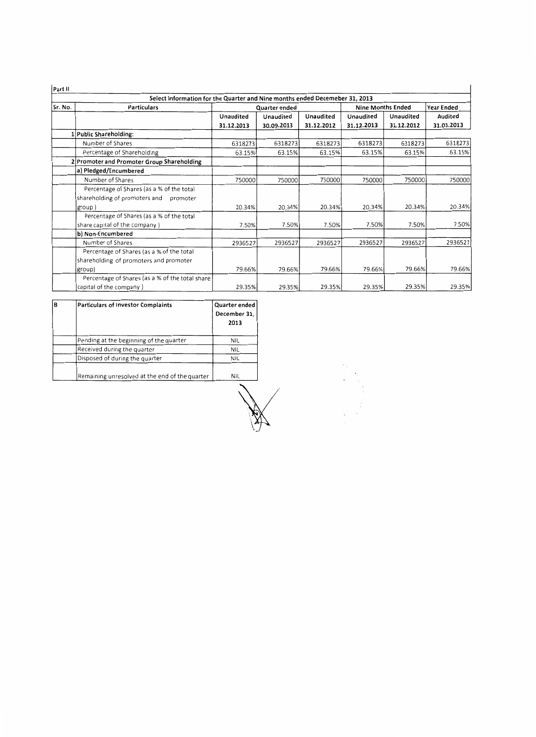| Part II |                                                                             |            |               |            |            |                          |            |  |  |  |
|---------|-----------------------------------------------------------------------------|------------|---------------|------------|------------|--------------------------|------------|--|--|--|
|         | Select Information for the Quarter and Nine months ended Decemeber 31, 2013 |            |               |            |            |                          |            |  |  |  |
| Sr. No. | <b>Particulars</b>                                                          |            | Quarter ended |            |            | <b>Nine Months Ended</b> |            |  |  |  |
|         |                                                                             | Unaudited  | Unaudited     | Unaudited  | Unaudited  | <b>Unaudited</b>         | Audited    |  |  |  |
|         |                                                                             | 31.12.2013 | 30.09.2013    | 31.12.2012 | 31.12.2013 | 31.12.2012               | 31.03.2013 |  |  |  |
|         | 1 Public Shareholding:                                                      |            |               |            |            |                          |            |  |  |  |
|         | Number of Shares                                                            | 6318273    | 6318273       | 6318273    | 6318273    | 6318273                  | 6318273    |  |  |  |
|         | Percentage of Shareholding                                                  | 63.15%     | 63.15%        | 63.15%     | 63.15%     | 63.15%                   | 63.15%     |  |  |  |
|         | 2 Promoter and Promoter Group Shareholding                                  |            |               |            |            |                          |            |  |  |  |
|         | a) Pledged/Encumbered                                                       |            |               |            |            |                          |            |  |  |  |
|         | Number of Shares                                                            | 750000     | 750000        | 750000     | 750000     | 750000                   | 750000     |  |  |  |
|         | Percentage of Shares (as a % of the total                                   |            |               |            |            |                          |            |  |  |  |
|         | shareholding of promoters and promoter                                      |            |               |            |            |                          |            |  |  |  |
|         | group)                                                                      | 20.34%     | 20.34%        | 20.34%     | 20.34%     | 20.34%                   | 20.34%     |  |  |  |
|         | Percentage of Shares (as a % of the total                                   |            |               |            |            |                          |            |  |  |  |
|         | share capital of the company )                                              | 7.50%      | 7.50%         | 7.50%      | 7.50%      | 7.50%                    | 7.50%      |  |  |  |
|         | b) Non-Encumbered                                                           |            |               |            |            |                          |            |  |  |  |
|         | Number of Shares                                                            | 2936527    | 2936527       | 2936527    | 2936527    | 2936527                  | 2936527    |  |  |  |
|         | Percentage of Shares (as a % of the total                                   |            |               |            |            |                          |            |  |  |  |
|         | shareholding of promoters and promoter                                      |            |               |            |            |                          |            |  |  |  |
|         | group)                                                                      | 79.66%     | 79.66%        | 79.66%     | 79.66%     | 79.66%                   | 79.66%     |  |  |  |
|         | Percentage of Shares (as a % of the total share)                            |            |               |            |            |                          |            |  |  |  |
|         | capital of the company)                                                     | 29.35%     | 29.35%        | 29.35%     | 29.35%     | 29.35%                   | 29.35%     |  |  |  |

| B | <b>Particulars of Investor Complaints</b>      | Quarter ended<br>December 31,<br>2013 |
|---|------------------------------------------------|---------------------------------------|
|   | Pending at the beginning of the quarter        | <b>NIL</b>                            |
|   | Received during the quarter                    | NIL                                   |
|   | Disposed of during the quarter                 | <b>NIL</b>                            |
|   | Remaining unresolved at the end of the quarter | NIL.                                  |
|   |                                                |                                       |